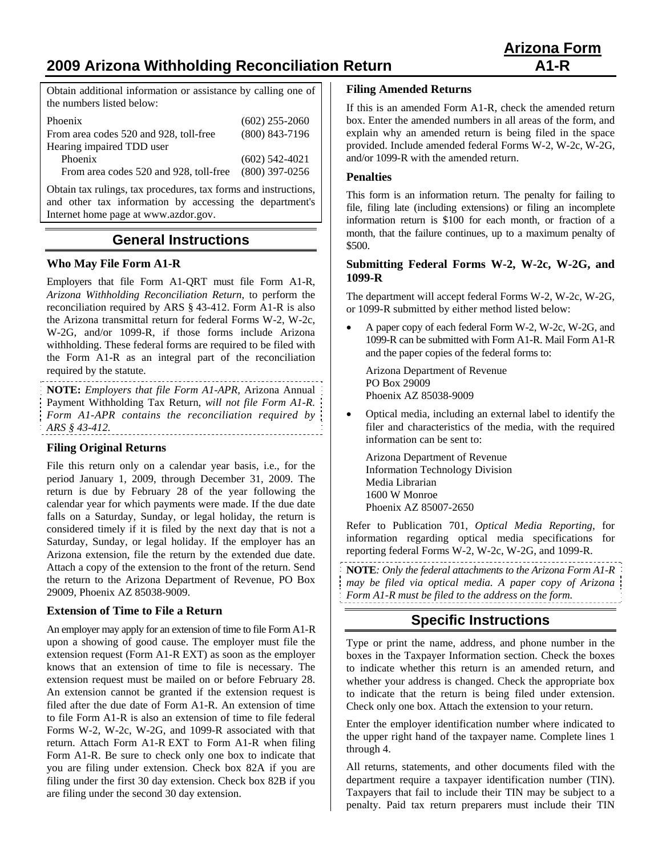# **2009 Arizona Withholding Reconciliation Return A1-R**

Obtain additional information or assistance by calling one of the numbers listed below:

| Phoenix                                | $(602)$ 255-2060 |
|----------------------------------------|------------------|
| From area codes 520 and 928, toll-free | $(800)$ 843-7196 |
| Hearing impaired TDD user              |                  |
| Phoenix                                | $(602)$ 542-4021 |
| From area codes 520 and 928, toll-free | $(800)$ 397-0256 |

Obtain tax rulings, tax procedures, tax forms and instructions, and other tax information by accessing the department's Internet home page at www.azdor.gov.

## **General Instructions**

#### **Who May File Form A1-R**

Employers that file Form A1-QRT must file Form A1-R, *Arizona Withholding Reconciliation Return*, to perform the reconciliation required by ARS § 43-412. Form A1-R is also the Arizona transmittal return for federal Forms W-2, W-2c, W-2G, and/or 1099-R, if those forms include Arizona withholding. These federal forms are required to be filed with the Form A1-R as an integral part of the reconciliation required by the statute.

**NOTE:** *Employers that file Form A1-APR,* Arizona Annual Payment Withholding Tax Return*, will not file Form A1-R. Form A1-APR contains the reconciliation required by ARS § 43-412.* 

#### **Filing Original Returns**

File this return only on a calendar year basis, i.e., for the period January 1, 2009, through December 31, 2009. The return is due by February 28 of the year following the calendar year for which payments were made. If the due date falls on a Saturday, Sunday, or legal holiday, the return is considered timely if it is filed by the next day that is not a Saturday, Sunday, or legal holiday. If the employer has an Arizona extension, file the return by the extended due date. Attach a copy of the extension to the front of the return. Send the return to the Arizona Department of Revenue, PO Box 29009, Phoenix AZ 85038-9009.

#### **Extension of Time to File a Return**

An employer may apply for an extension of time to file Form A1-R upon a showing of good cause. The employer must file the extension request (Form A1-R EXT) as soon as the employer knows that an extension of time to file is necessary. The extension request must be mailed on or before February 28. An extension cannot be granted if the extension request is filed after the due date of Form A1-R. An extension of time to file Form A1-R is also an extension of time to file federal Forms W-2, W-2c, W-2G, and 1099-R associated with that return. Attach Form A1-R EXT to Form A1-R when filing Form A1-R. Be sure to check only one box to indicate that you are filing under extension. Check box 82A if you are filing under the first 30 day extension. Check box 82B if you are filing under the second 30 day extension.

#### **Filing Amended Returns**

If this is an amended Form A1-R, check the amended return box. Enter the amended numbers in all areas of the form, and explain why an amended return is being filed in the space provided. Include amended federal Forms W-2, W-2c, W-2G, and/or 1099-R with the amended return.

#### **Penalties**

This form is an information return. The penalty for failing to file, filing late (including extensions) or filing an incomplete information return is \$100 for each month, or fraction of a month, that the failure continues, up to a maximum penalty of \$500.

#### **Submitting Federal Forms W-2, W-2c, W-2G, and 1099-R**

The department will accept federal Forms W-2, W-2c, W-2G, or 1099-R submitted by either method listed below:

 A paper copy of each federal Form W-2, W-2c, W-2G, and 1099-R can be submitted with Form A1-R. Mail Form A1-R and the paper copies of the federal forms to:

Arizona Department of Revenue PO Box 29009 Phoenix AZ 85038-9009

 Optical media, including an external label to identify the filer and characteristics of the media, with the required information can be sent to:

 Arizona Department of Revenue Information Technology Division Media Librarian 1600 W Monroe Phoenix AZ 85007-2650

Refer to Publication 701, *Optical Media Reporting*, for information regarding optical media specifications for reporting federal Forms W-2, W-2c, W-2G, and 1099-R.

**NOTE***: Only the federal attachments to the Arizona Form A1-R may be filed via optical media. A paper copy of Arizona Form A1-R must be filed to the address on the form.* 

## **Specific Instructions**

Type or print the name, address, and phone number in the boxes in the Taxpayer Information section. Check the boxes to indicate whether this return is an amended return, and whether your address is changed. Check the appropriate box to indicate that the return is being filed under extension. Check only one box. Attach the extension to your return.

Enter the employer identification number where indicated to the upper right hand of the taxpayer name. Complete lines 1 through 4.

All returns, statements, and other documents filed with the department require a taxpayer identification number (TIN). Taxpayers that fail to include their TIN may be subject to a penalty. Paid tax return preparers must include their TIN